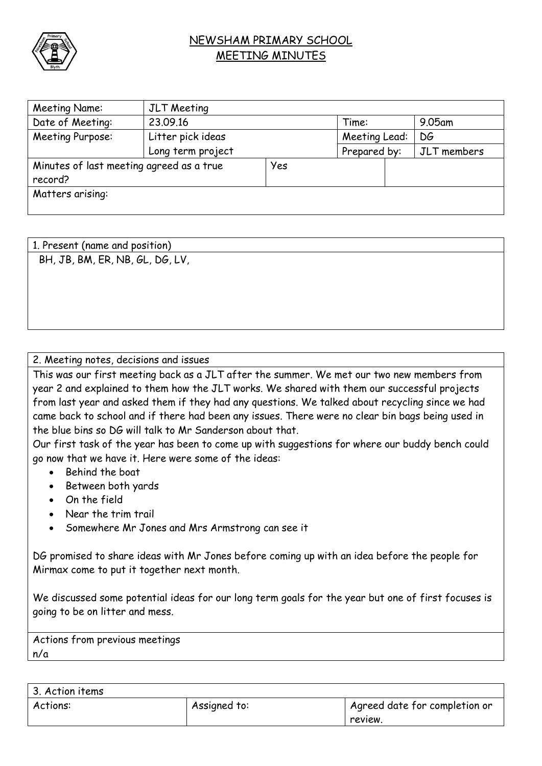

## NEWSHAM PRIMARY SCHOOL MEETING MINUTES

| Meeting Name:                            | JLT Meeting       |     |               |  |             |
|------------------------------------------|-------------------|-----|---------------|--|-------------|
| Date of Meeting:                         | 23.09.16          |     | Time:         |  | $9.05$ am   |
| Meeting Purpose:                         | Litter pick ideas |     | Meeting Lead: |  | DG          |
|                                          | Long term project |     | Prepared by:  |  | JLT members |
| Minutes of last meeting agreed as a true |                   | Yes |               |  |             |
| record?                                  |                   |     |               |  |             |
| Matters arising:                         |                   |     |               |  |             |
|                                          |                   |     |               |  |             |

| 1. Present (name and position)  |  |  |
|---------------------------------|--|--|
| BH, JB, BM, ER, NB, GL, DG, LV, |  |  |
|                                 |  |  |
|                                 |  |  |
|                                 |  |  |

2. Meeting notes, decisions and issues

This was our first meeting back as a JLT after the summer. We met our two new members from year 2 and explained to them how the JLT works. We shared with them our successful projects from last year and asked them if they had any questions. We talked about recycling since we had came back to school and if there had been any issues. There were no clear bin bags being used in the blue bins so DG will talk to Mr Sanderson about that.

Our first task of the year has been to come up with suggestions for where our buddy bench could go now that we have it. Here were some of the ideas:

- Behind the boat
- Between both yards
- On the field
- Near the trim trail
- Somewhere Mr Jones and Mrs Armstrong can see it

DG promised to share ideas with Mr Jones before coming up with an idea before the people for Mirmax come to put it together next month.

We discussed some potential ideas for our long term goals for the year but one of first focuses is going to be on litter and mess.

Actions from previous meetings n/a

| 3. Action items |              |                               |
|-----------------|--------------|-------------------------------|
| Actions:        | Assigned to: | Agreed date for completion or |
|                 |              | review.                       |